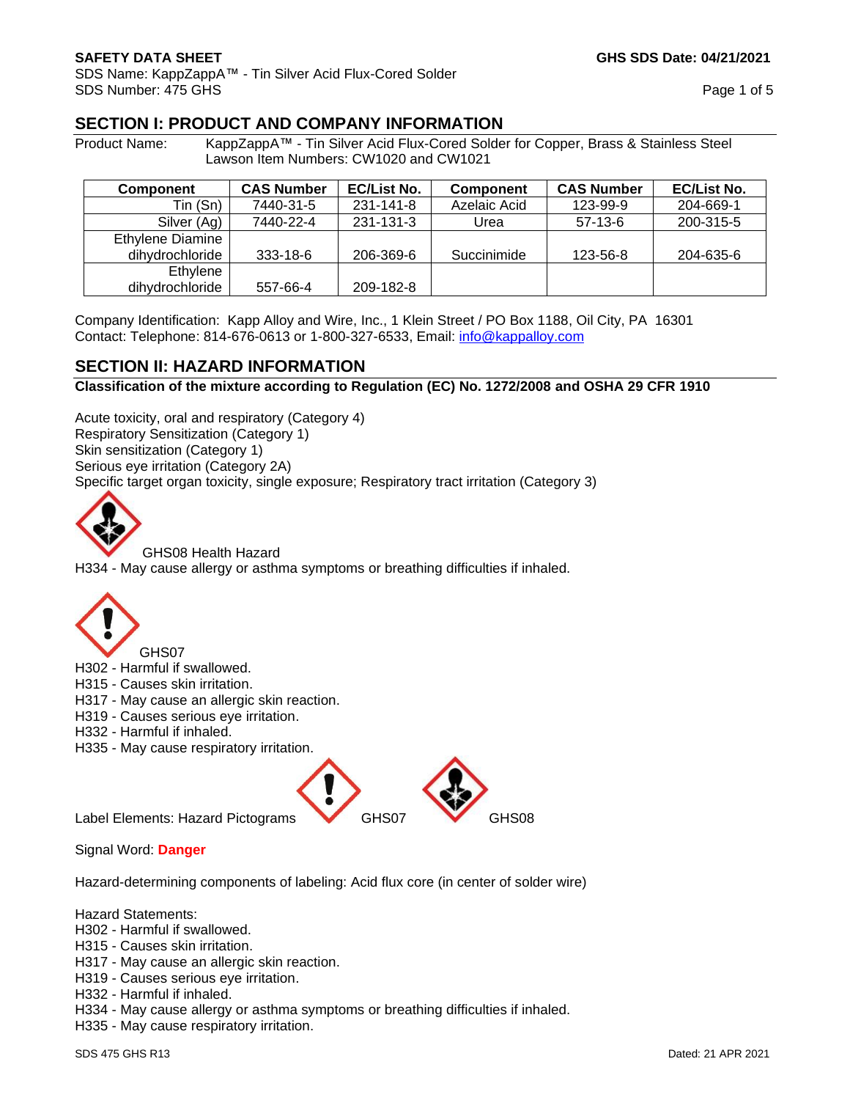SDS Name: KappZappA™ - Tin Silver Acid Flux-Cored Solder SDS Number: 475 GHS Page 1 of 5

## **SECTION I: PRODUCT AND COMPANY INFORMATION**

Product Name: KappZappA™ - Tin Silver Acid Flux-Cored Solder for Copper, Brass & Stainless Steel Lawson Item Numbers: CW1020 and CW1021

| <b>Component</b> | <b>CAS Number</b> | <b>EC/List No.</b> | Component    | <b>CAS Number</b> | <b>EC/List No.</b> |
|------------------|-------------------|--------------------|--------------|-------------------|--------------------|
| Tin (Sn)         | 7440-31-5         | 231-141-8          | Azelaic Acid | 123-99-9          | 204-669-1          |
| Silver (Ag)      | 7440-22-4         | 231-131-3          | Urea         | $57-13-6$         | 200-315-5          |
| Ethylene Diamine |                   |                    |              |                   |                    |
| dihydrochloride  | 333-18-6          | 206-369-6          | Succinimide  | 123-56-8          | 204-635-6          |
| Ethylene         |                   |                    |              |                   |                    |
| dihydrochloride  | 557-66-4          | 209-182-8          |              |                   |                    |

Company Identification: Kapp Alloy and Wire, Inc., 1 Klein Street / PO Box 1188, Oil City, PA 16301 Contact: Telephone: 814-676-0613 or 1-800-327-6533, Email: [info@kappalloy.com](mailto:info@kappalloy.com)

## **SECTION II: HAZARD INFORMATION**

**Classification of the mixture according to Regulation (EC) No. 1272/2008 and OSHA 29 CFR 1910**

Acute toxicity, oral and respiratory (Category 4) Respiratory Sensitization (Category 1) Skin sensitization (Category 1) Serious eye irritation (Category 2A) Specific target organ toxicity, single exposure; Respiratory tract irritation (Category 3)



GHS08 Health Hazard H334 - May cause allergy or asthma symptoms or breathing difficulties if inhaled.



H302 - Harmful if swallowed.

- H315 Causes skin irritation.
- H317 May cause an allergic skin reaction.
- H319 Causes serious eye irritation.
- H332 Harmful if inhaled.
- H335 May cause respiratory irritation.



Signal Word: **Danger**

Hazard-determining components of labeling: Acid flux core (in center of solder wire)

Hazard Statements:

- H302 Harmful if swallowed.
- H315 Causes skin irritation.
- H317 May cause an allergic skin reaction.
- H319 Causes serious eye irritation.
- H332 Harmful if inhaled.
- H334 May cause allergy or asthma symptoms or breathing difficulties if inhaled.
- H335 May cause respiratory irritation.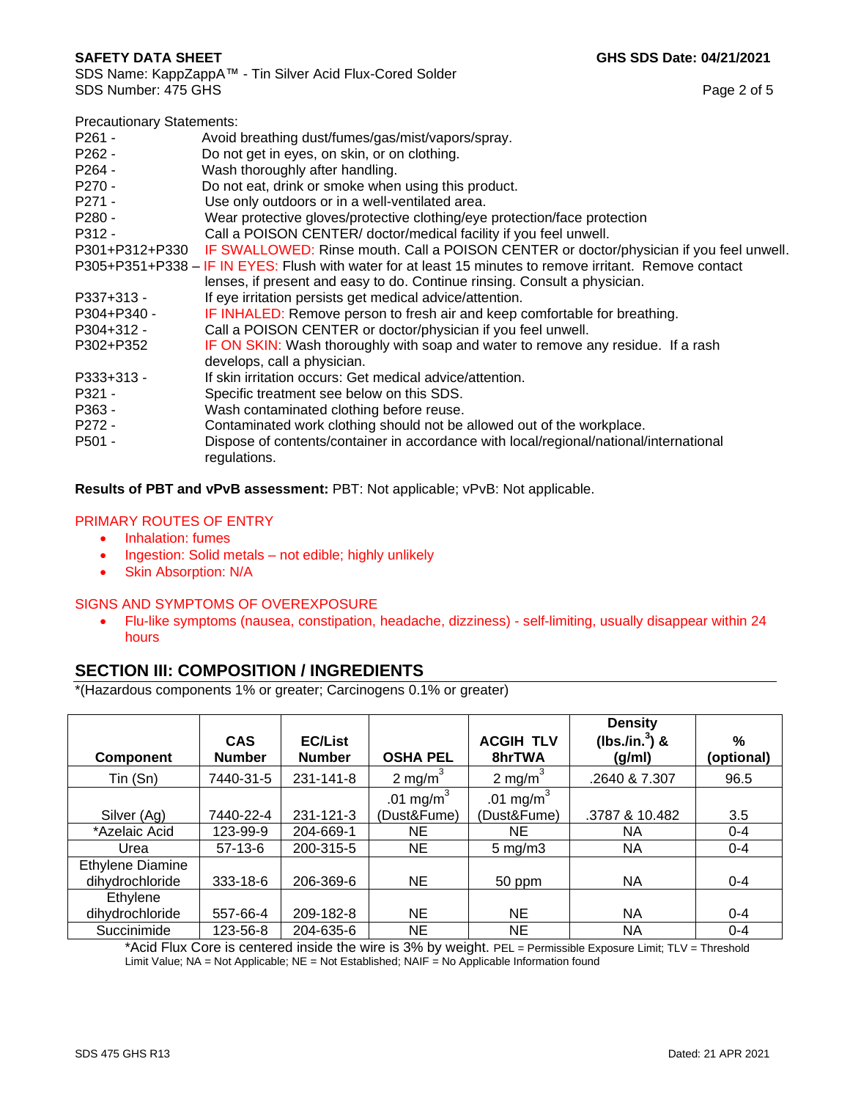| <b>Precautionary Statements:</b> |                                                                                                          |
|----------------------------------|----------------------------------------------------------------------------------------------------------|
| $P261 -$                         | Avoid breathing dust/fumes/gas/mist/vapors/spray.                                                        |
| $P262 -$                         | Do not get in eyes, on skin, or on clothing.                                                             |
| P <sub>264</sub> -               | Wash thoroughly after handling.                                                                          |
| P <sub>270</sub> -               | Do not eat, drink or smoke when using this product.                                                      |
| P271 -                           | Use only outdoors or in a well-ventilated area.                                                          |
| P280 -                           | Wear protective gloves/protective clothing/eye protection/face protection                                |
| P312 -                           | Call a POISON CENTER/ doctor/medical facility if you feel unwell.                                        |
|                                  | P301+P312+P330 IF SWALLOWED: Rinse mouth. Call a POISON CENTER or doctor/physician if you feel unwell.   |
|                                  | P305+P351+P338 – IF IN EYES: Flush with water for at least 15 minutes to remove irritant. Remove contact |
|                                  | lenses, if present and easy to do. Continue rinsing. Consult a physician.                                |
| P337+313 -                       | If eye irritation persists get medical advice/attention.                                                 |
| P304+P340 -                      | IF INHALED: Remove person to fresh air and keep comfortable for breathing.                               |
| $P304+312 -$                     | Call a POISON CENTER or doctor/physician if you feel unwell.                                             |
| P302+P352                        | IF ON SKIN: Wash thoroughly with soap and water to remove any residue. If a rash                         |
|                                  | develops, call a physician.                                                                              |
| P333+313 -                       | If skin irritation occurs: Get medical advice/attention.                                                 |
| P321 -                           | Specific treatment see below on this SDS.                                                                |
| P363 -                           | Wash contaminated clothing before reuse.                                                                 |
| P272 -                           | Contaminated work clothing should not be allowed out of the workplace.                                   |
| P501 -                           | Dispose of contents/container in accordance with local/regional/national/international<br>regulations.   |
|                                  |                                                                                                          |

**Results of PBT and vPvB assessment:** PBT: Not applicable; vPvB: Not applicable.

#### PRIMARY ROUTES OF ENTRY

- Inhalation: fumes
- Ingestion: Solid metals not edible; highly unlikely
- Skin Absorption: N/A

#### SIGNS AND SYMPTOMS OF OVEREXPOSURE

• Flu-like symptoms (nausea, constipation, headache, dizziness) - self-limiting, usually disappear within 24 hours

## **SECTION III: COMPOSITION / INGREDIENTS**

\*(Hazardous components 1% or greater; Carcinogens 0.1% or greater)

|                         |                             |                                 |                 |                            | <b>Density</b>               |                    |
|-------------------------|-----------------------------|---------------------------------|-----------------|----------------------------|------------------------------|--------------------|
| <b>Component</b>        | <b>CAS</b><br><b>Number</b> | <b>EC/List</b><br><b>Number</b> | <b>OSHA PEL</b> | <b>ACGIH TLV</b><br>8hrTWA | (lbs./in. $^3$ ) &<br>(g/ml) | $\%$<br>(optional) |
|                         |                             |                                 |                 |                            |                              |                    |
| Tin (Sn)                | 7440-31-5                   | 231-141-8                       | 2 mg/m $3$      | 2 mg/m <sup>3</sup>        | .2640 & 7.307                | 96.5               |
|                         |                             |                                 | .01 mg/m $3$    | .01 mg/m $3$               |                              |                    |
| Silver (Ag)             | 7440-22-4                   | 231-121-3                       | (Dust&Fume)     | (Dust&Fume)                | .3787 & 10.482               | 3.5                |
| *Azelaic Acid           | 123-99-9                    | 204-669-1                       | NE              | NE.                        | <b>NA</b>                    | $0 - 4$            |
| Urea                    | $57-13-6$                   | 200-315-5                       | <b>NE</b>       | $5 \text{ mg/m}$ 3         | NA.                          | $0 - 4$            |
| <b>Ethylene Diamine</b> |                             |                                 |                 |                            |                              |                    |
| dihydrochloride         | 333-18-6                    | 206-369-6                       | <b>NE</b>       | 50 ppm                     | <b>NA</b>                    | $0 - 4$            |
| Ethylene                |                             |                                 |                 |                            |                              |                    |
| dihydrochloride         | 557-66-4                    | 209-182-8                       | <b>NE</b>       | <b>NE</b>                  | <b>NA</b>                    | $0 - 4$            |
| Succinimide             | 123-56-8                    | 204-635-6                       | NE              | NE.                        | NA                           | $0 - 4$            |

\*Acid Flux Core is centered inside the wire is 3% by weight. PEL = Permissible Exposure Limit; TLV = Threshold Limit Value; NA = Not Applicable; NE = Not Established; NAIF = No Applicable Information found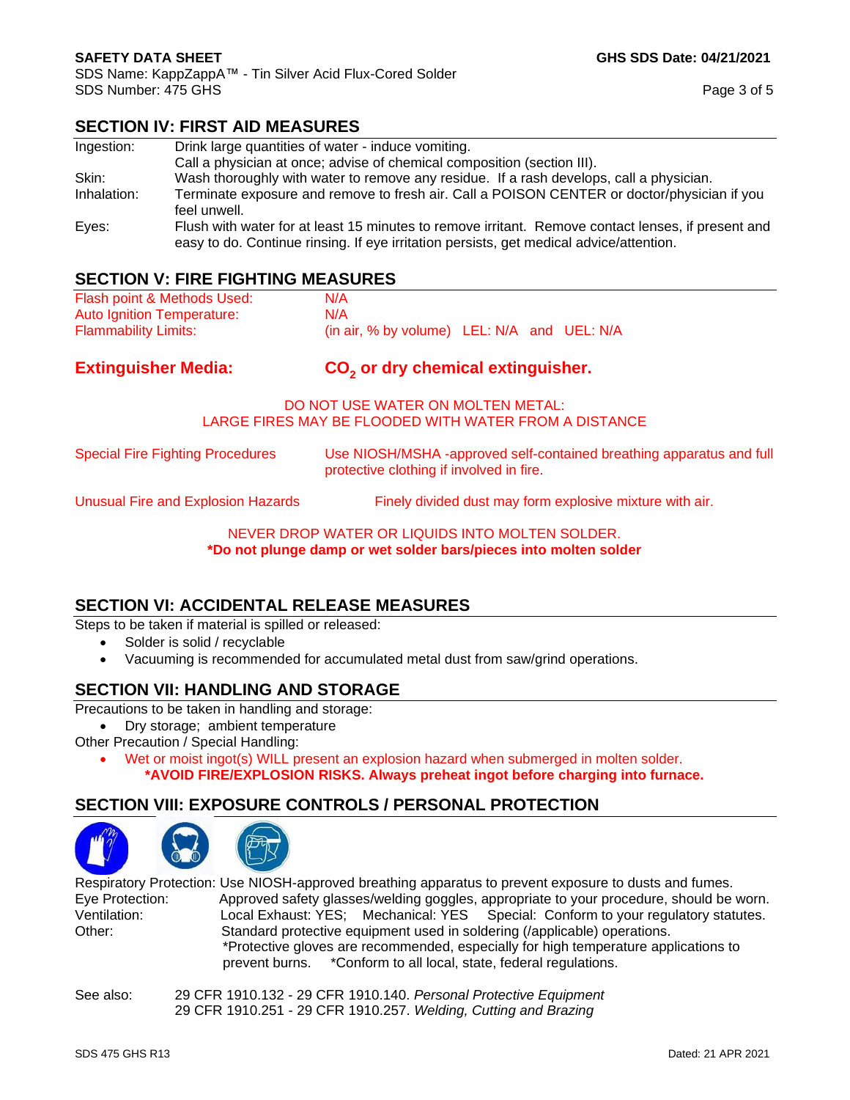SDS Name: KappZappA™ - Tin Silver Acid Flux-Cored Solder SDS Number: 475 GHS Page 3 of 5

## **SECTION IV: FIRST AID MEASURES**

| Ingestion:  | Drink large quantities of water - induce vomiting.                                                                                                                                            |
|-------------|-----------------------------------------------------------------------------------------------------------------------------------------------------------------------------------------------|
|             | Call a physician at once; advise of chemical composition (section III).                                                                                                                       |
| Skin:       | Wash thoroughly with water to remove any residue. If a rash develops, call a physician.                                                                                                       |
| Inhalation: | Terminate exposure and remove to fresh air. Call a POISON CENTER or doctor/physician if you                                                                                                   |
|             | feel unwell.                                                                                                                                                                                  |
| Eyes:       | Flush with water for at least 15 minutes to remove irritant. Remove contact lenses, if present and<br>easy to do. Continue rinsing. If eye irritation persists, get medical advice/attention. |

# **SECTION V: FIRE FIGHTING MEASURES**

| <u>ULUITUN YII IINLI I IUITIINU MLAUUNLU</u>                         |  |  |  |
|----------------------------------------------------------------------|--|--|--|
|                                                                      |  |  |  |
|                                                                      |  |  |  |
| (in air, % by volume) LEL: N/A and UEL: N/A                          |  |  |  |
| CO <sub>2</sub> or dry chemical extinguisher.                        |  |  |  |
|                                                                      |  |  |  |
| Use NIOSH/MSHA -approved self-contained breathing apparatus and full |  |  |  |
|                                                                      |  |  |  |
|                                                                      |  |  |  |

#### NEVER DROP WATER OR LIQUIDS INTO MOLTEN SOLDER. **\*Do not plunge damp or wet solder bars/pieces into molten solder**

## **SECTION VI: ACCIDENTAL RELEASE MEASURES**

Steps to be taken if material is spilled or released:

- Solder is solid / recyclable
- Vacuuming is recommended for accumulated metal dust from saw/grind operations.

## **SECTION VII: HANDLING AND STORAGE**

Precautions to be taken in handling and storage:

• Dry storage; ambient temperature

Other Precaution / Special Handling:

• Wet or moist ingot(s) WILL present an explosion hazard when submerged in molten solder. **\*AVOID FIRE/EXPLOSION RISKS. Always preheat ingot before charging into furnace.**

# **SECTION VIII: EXPOSURE CONTROLS / PERSONAL PROTECTION**



Respiratory Protection: Use NIOSH-approved breathing apparatus to prevent exposure to dusts and fumes. Eye Protection: Approved safety glasses/welding goggles, appropriate to your procedure, should be worn. Ventilation: Local Exhaust: YES; Mechanical: YES Special: Conform to your regulatory statutes. Other: Standard protective equipment used in soldering (/applicable) operations. \*Protective gloves are recommended, especially for high temperature applications to prevent burns. \*Conform to all local, state, federal regulations.

| See also: | 29 CFR 1910.132 - 29 CFR 1910.140. Personal Protective Equipment |
|-----------|------------------------------------------------------------------|
|           | 29 CFR 1910.251 - 29 CFR 1910.257. Welding, Cutting and Brazing  |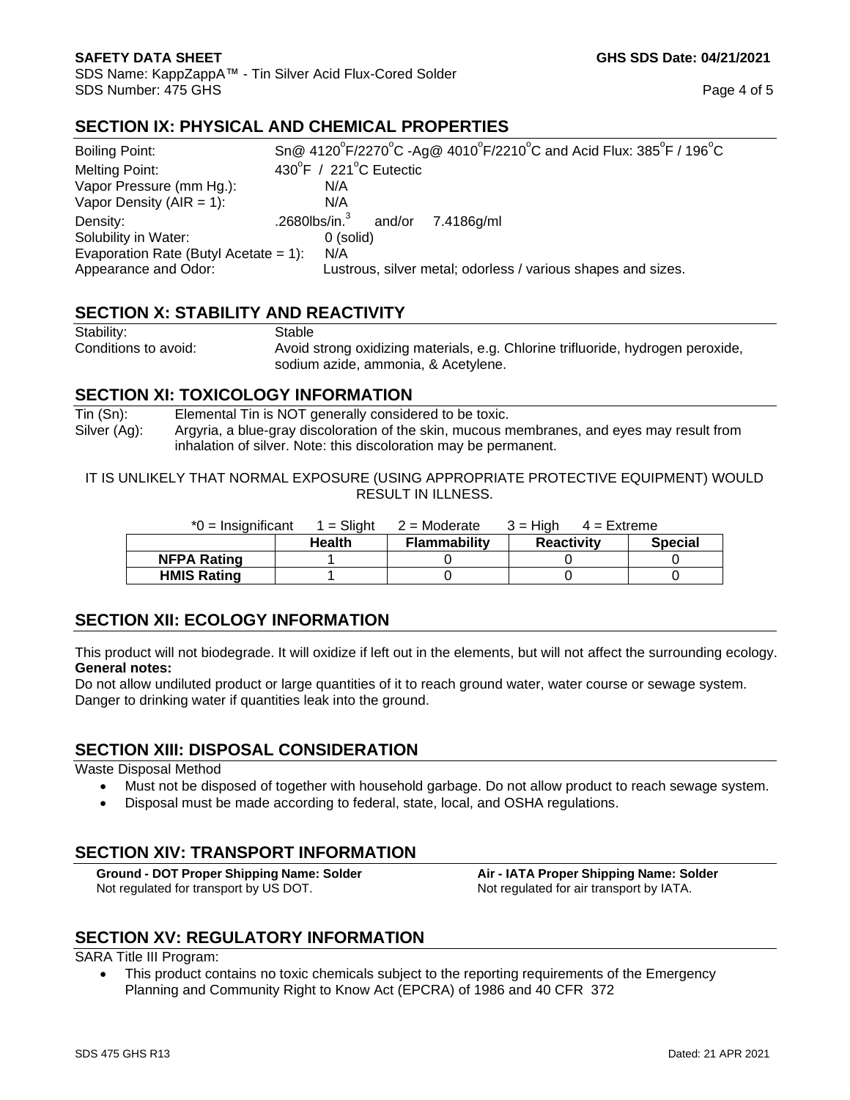SDS Name: KappZappA™ - Tin Silver Acid Flux-Cored Solder SDS Number: 475 GHS Page 4 of 5

rine trifluoride, hydrogen peroxide,

# **SECTION IX: PHYSICAL AND CHEMICAL PROPERTIES**

| Boiling Point:                           | Sn@ 4120°F/2270°C -Ag@ 4010°F/2210°C and Acid Flux: 385°F / 196°C |  |  |  |
|------------------------------------------|-------------------------------------------------------------------|--|--|--|
| Melting Point:                           | 430°F / 221°C Eutectic                                            |  |  |  |
| Vapor Pressure (mm Hg.):                 | N/A                                                               |  |  |  |
| Vapor Density ( $AIR = 1$ ):             | N/A                                                               |  |  |  |
| Density:                                 | .2680lbs/in. $3$ and/or<br>7.4186g/ml                             |  |  |  |
| Solubility in Water:                     | 0 (solid)                                                         |  |  |  |
| Evaporation Rate (Butyl Acetate = $1$ ): | N/A                                                               |  |  |  |
| Appearance and Odor:                     | Lustrous, silver metal; odorless / various shapes and sizes.      |  |  |  |

# **SECTION X: STABILITY AND REACTIVITY**

| Stability:           | Stable                                      |
|----------------------|---------------------------------------------|
| Conditions to avoid: | Avoid strong oxidizing materials, e.g. Chlo |
|                      | sodium azide, ammonia, & Acetylene.         |

## **SECTION XI: TOXICOLOGY INFORMATION**

Tin (Sn): Elemental Tin is NOT generally considered to be toxic. Silver (Ag): Argyria, a blue-gray discoloration of the skin, mucous membranes, and eyes may result from inhalation of silver. Note: this discoloration may be permanent.

IT IS UNLIKELY THAT NORMAL EXPOSURE (USING APPROPRIATE PROTECTIVE EQUIPMENT) WOULD RESULT IN ILLNESS.

| $*0 =$ Insignificant | 1 = Sliaht    | $2$ = Moderate      | $3 = H$ iah<br>$4 =$ Extreme |                |
|----------------------|---------------|---------------------|------------------------------|----------------|
|                      | <b>Health</b> | <b>Flammability</b> | <b>Reactivity</b>            | <b>Special</b> |
| <b>NFPA Rating</b>   |               |                     |                              |                |
| <b>HMIS Rating</b>   |               |                     |                              |                |

# **SECTION XII: ECOLOGY INFORMATION**

This product will not biodegrade. It will oxidize if left out in the elements, but will not affect the surrounding ecology. **General notes:**

Do not allow undiluted product or large quantities of it to reach ground water, water course or sewage system. Danger to drinking water if quantities leak into the ground.

# **SECTION XIII: DISPOSAL CONSIDERATION**

Waste Disposal Method

- Must not be disposed of together with household garbage. Do not allow product to reach sewage system.
- Disposal must be made according to federal, state, local, and OSHA regulations.

# **SECTION XIV: TRANSPORT INFORMATION**

**Ground - DOT Proper Shipping Name: Solder Air - IATA Proper Shipping Name: Solder** Not regulated for transport by US DOT. Not regulated for air transport by IATA.

# **SECTION XV: REGULATORY INFORMATION**

SARA Title III Program:

• This product contains no toxic chemicals subject to the reporting requirements of the Emergency Planning and Community Right to Know Act (EPCRA) of 1986 and 40 CFR 372